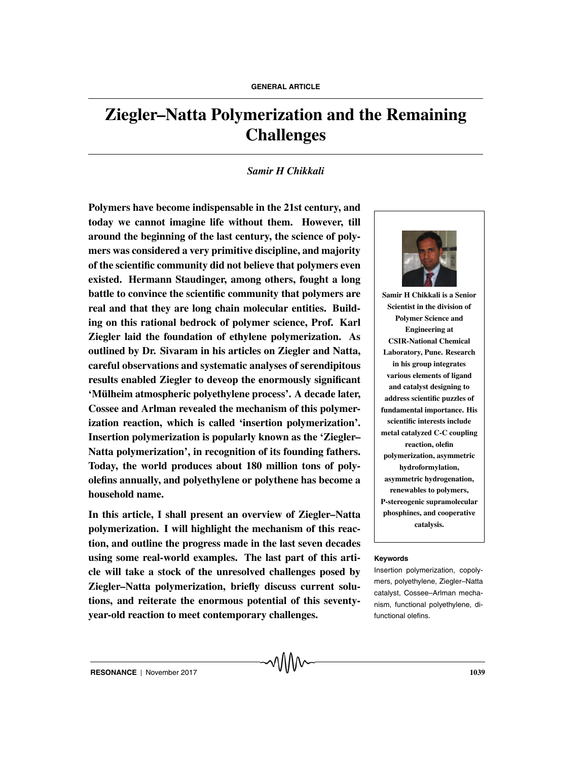# **Ziegler–Natta Polymerization and the Remaining Challenges**

#### *Samir H Chikkali*

**Polymers have become indispensable in the 21st century, and today we cannot imagine life without them. However, till around the beginning of the last century, the science of polymers was considered a very primitive discipline, and majority of the scientific community did not believe that polymers even existed. Hermann Staudinger, among others, fought a long battle to convince the scientific community that polymers are real and that they are long chain molecular entities. Building on this rational bedrock of polymer science, Prof. Karl Ziegler laid the foundation of ethylene polymerization. As outlined by Dr. Sivaram in his articles on Ziegler and Natta, careful observations and systematic analyses of serendipitous results enabled Ziegler to deveop the enormously significant 'Mulheim atmospheric polyethylene process'. A decade later, ¨ Cossee and Arlman revealed the mechanism of this polymerization reaction, which is called 'insertion polymerization'. Insertion polymerization is popularly known as the 'Ziegler– Natta polymerization', in recognition of its founding fathers. Today, the world produces about 180 million tons of polyolefins annually, and polyethylene or polythene has become a household name.**

**In this article, I shall present an overview of Ziegler–Natta polymerization. I will highlight the mechanism of this reaction, and outline the progress made in the last seven decades using some real-world examples. The last part of this arti- Keywords cle will take a stock of the unresolved challenges posed by Ziegler–Natta polymerization, briefly discuss current solutions, and reiterate the enormous potential of this seventyyear-old reaction to meet contemporary challenges.**



**Samir H Chikkali is a Senior Scientist in the division of Polymer Science and Engineering at CSIR-National Chemical Laboratory, Pune. Research in his group integrates various elements of ligand and catalyst designing to address scientific puzzles of fundamental importance. His scientific interests include metal catalyzed C-C coupling reaction, olefin polymerization, asymmetric hydroformylation, asymmetric hydrogenation, renewables to polymers, P-stereogenic supramolecular phosphines, and cooperative catalysis.**

Insertion polymerization, copolymers, polyethylene, Ziegler–Natta catalyst, Cossee–Arlman mechanism, functional polyethylene, difunctional olefins.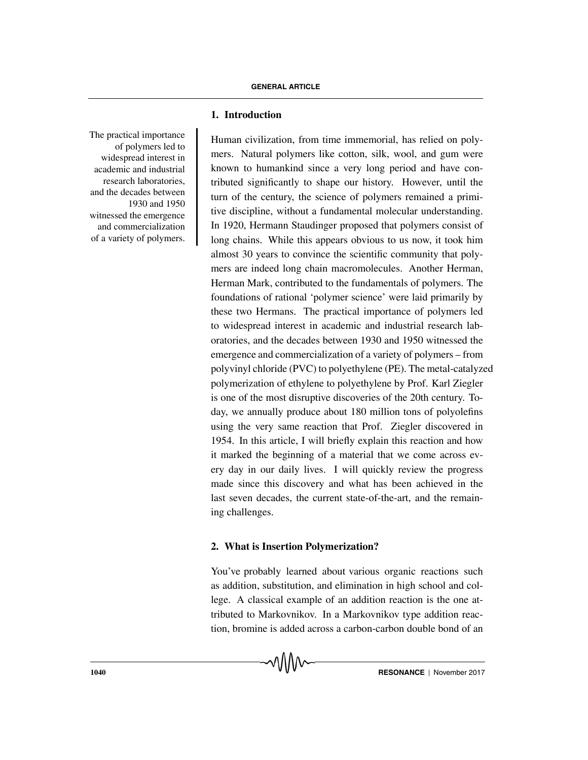**1. Introduction**

The practical importance of polymers led to widespread interest in academic and industrial research laboratories, and the decades between 1930 and 1950 witnessed the emergence and commercialization of a variety of polymers.

Human civilization, from time immemorial, has relied on polymers. Natural polymers like cotton, silk, wool, and gum were known to humankind since a very long period and have contributed significantly to shape our history. However, until the turn of the century, the science of polymers remained a primitive discipline, without a fundamental molecular understanding. In 1920, Hermann Staudinger proposed that polymers consist of long chains. While this appears obvious to us now, it took him almost 30 years to convince the scientific community that polymers are indeed long chain macromolecules. Another Herman, Herman Mark, contributed to the fundamentals of polymers. The foundations of rational 'polymer science' were laid primarily by these two Hermans. The practical importance of polymers led to widespread interest in academic and industrial research laboratories, and the decades between 1930 and 1950 witnessed the emergence and commercialization of a variety of polymers – from polyvinyl chloride (PVC) to polyethylene (PE). The metal-catalyzed polymerization of ethylene to polyethylene by Prof. Karl Ziegler is one of the most disruptive discoveries of the 20th century. Today, we annually produce about 180 million tons of polyolefins using the very same reaction that Prof. Ziegler discovered in 1954. In this article, I will briefly explain this reaction and how it marked the beginning of a material that we come across every day in our daily lives. I will quickly review the progress made since this discovery and what has been achieved in the last seven decades, the current state-of-the-art, and the remaining challenges.

# **2. What is Insertion Polymerization?**

You've probably learned about various organic reactions such as addition, substitution, and elimination in high school and college. A classical example of an addition reaction is the one attributed to Markovnikov. In a Markovnikov type addition reaction, bromine is added across a carbon-carbon double bond of an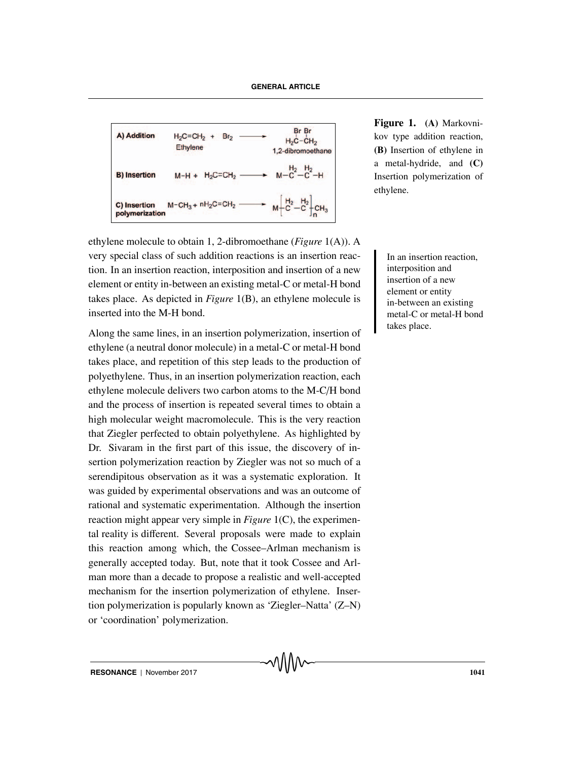| A) Addition    | $H_2C = CH_2 + Br_2$    | Br Br         |
|----------------|-------------------------|---------------|
| Ethylene       | $H_2C - CH_2$           |               |
| B) Insertion   | $M-H + H_2C = CH_2$     | $M-C-C-C+C_2$ |
| C) Insertion   | $M-CH_3 + nH_2C = CH_2$ | $M-C-C-C+C_3$ |
| polymerization | $M-CH_3 + nH_2C = CH_2$ | $M-C-C-C+C_3$ |

**Figure 1. (A)** Markovnikov type addition reaction, **(B)** Insertion of ethylene in a metal-hydride, and **(C)** Insertion polymerization of ethylene.

ethylene molecule to obtain 1, 2-dibromoethane (*Figure* 1(A)). A very special class of such addition reactions is an insertion reac-<br>In an insertion reaction, tion. In an insertion reaction, interposition and insertion of a new element or entity in-between an existing metal-C or metal-H bond takes place. As depicted in *Figure* 1(B), an ethylene molecule is inserted into the M-H bond.

Along the same lines, in an insertion polymerization, insertion of ethylene (a neutral donor molecule) in a metal-C or metal-H bond takes place, and repetition of this step leads to the production of polyethylene. Thus, in an insertion polymerization reaction, each ethylene molecule delivers two carbon atoms to the M-C/H bond and the process of insertion is repeated several times to obtain a high molecular weight macromolecule. This is the very reaction that Ziegler perfected to obtain polyethylene. As highlighted by Dr. Sivaram in the first part of this issue, the discovery of insertion polymerization reaction by Ziegler was not so much of a serendipitous observation as it was a systematic exploration. It was guided by experimental observations and was an outcome of rational and systematic experimentation. Although the insertion reaction might appear very simple in *Figure* 1(C), the experimental reality is different. Several proposals were made to explain this reaction among which, the Cossee–Arlman mechanism is generally accepted today. But, note that it took Cossee and Arlman more than a decade to propose a realistic and well-accepted mechanism for the insertion polymerization of ethylene. Insertion polymerization is popularly known as 'Ziegler–Natta' (Z–N) or 'coordination' polymerization.

interposition and insertion of a new element or entity in-between an existing metal-C or metal-H bond takes place.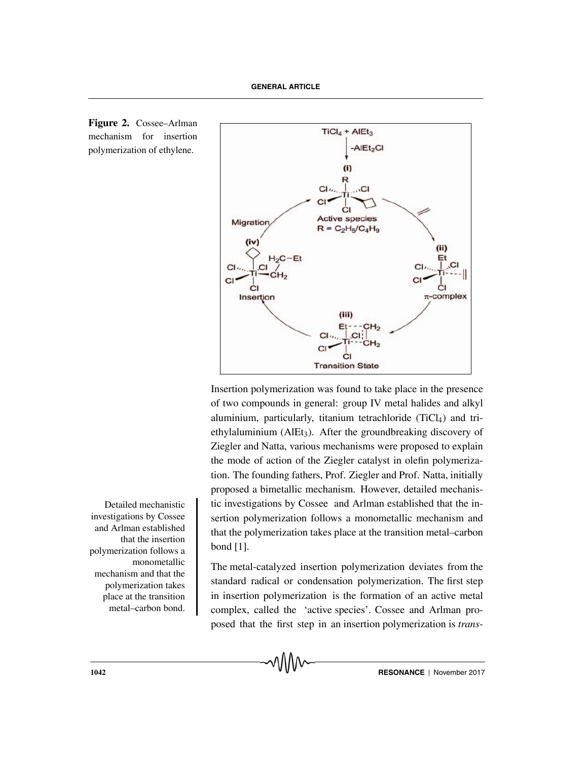

Insertion polymerization was found to take place in the presence of two compounds in general: group IV metal halides and alkyl aluminium, particularly, titanium tetrachloride  $(TiCl<sub>4</sub>)$  and triethylaluminium (AlEt3). After the groundbreaking discovery of Ziegler and Natta, various mechanisms were proposed to explain the mode of action of the Ziegler catalyst in olefin polymerization. The founding fathers, Prof. Ziegler and Prof. Natta, initially proposed a bimetallic mechanism. However, detailed mechanis-Detailed mechanistic investigations by Cossee and Arlman established that the insertion polymerization follows a monometallic mechanism and that the polymerization takes place at the transition metal–carbon bond [1].

> The metal-catalyzed insertion polymerization deviates from the standard radical or condensation polymerization. The first step in insertion polymerization is the formation of an active metal complex, called the 'active species'. Cossee and Arlman proposed that the first step in an insertion polymerization is *trans*-

investigations by Cossee and Arlman established that the insertion polymerization follows a monometallic mechanism and that the polymerization takes place at the transition metal–carbon bond.



**Figure 2.** Cossee–Arlman mechanism for insertion polymerization of ethylene.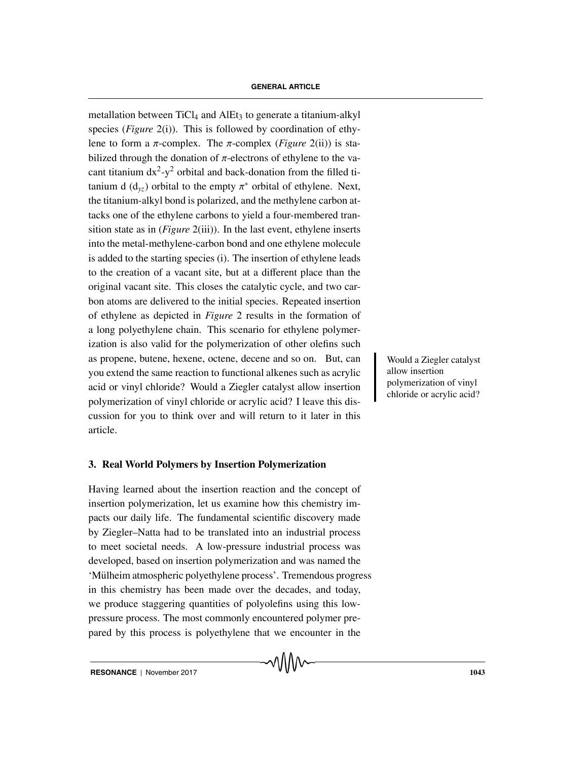metallation between  $TiCl<sub>4</sub>$  and  $AIEt<sub>3</sub>$  to generate a titanium-alkyl species (*Figure* 2(i)). This is followed by coordination of ethylene to form a  $\pi$ -complex. The  $\pi$ -complex (*Figure* 2(ii)) is stabilized through the donation of  $\pi$ -electrons of ethylene to the vacant titanium  $dx^2-y^2$  orbital and back-donation from the filled titanium d ( $d_{yz}$ ) orbital to the empty  $\pi^*$  orbital of ethylene. Next, the titanium-alkyl bond is polarized, and the methylene carbon attacks one of the ethylene carbons to yield a four-membered transition state as in (*Figure* 2(iii)). In the last event, ethylene inserts into the metal-methylene-carbon bond and one ethylene molecule is added to the starting species (i). The insertion of ethylene leads to the creation of a vacant site, but at a different place than the original vacant site. This closes the catalytic cycle, and two carbon atoms are delivered to the initial species. Repeated insertion of ethylene as depicted in *Figure* 2 results in the formation of a long polyethylene chain. This scenario for ethylene polymerization is also valid for the polymerization of other olefins such as propene, butene, hexene, octene, decene and so on. But, can Would a Ziegler catalyst you extend the same reaction to functional alkenes such as acrylic acid or vinyl chloride? Would a Ziegler catalyst allow insertion polymerization of vinyl chloride or acrylic acid? I leave this discussion for you to think over and will return to it later in this article.

# **3. Real World Polymers by Insertion Polymerization**

Having learned about the insertion reaction and the concept of insertion polymerization, let us examine how this chemistry impacts our daily life. The fundamental scientific discovery made by Ziegler–Natta had to be translated into an industrial process to meet societal needs. A low-pressure industrial process was developed, based on insertion polymerization and was named the 'Mulheim atmospheric polyethylene process'. Tremendous progress ¨ in this chemistry has been made over the decades, and today, we produce staggering quantities of polyolefins using this lowpressure process. The most commonly encountered polymer prepared by this process is polyethylene that we encounter in the

allow insertion polymerization of vinyl chloride or acrylic acid?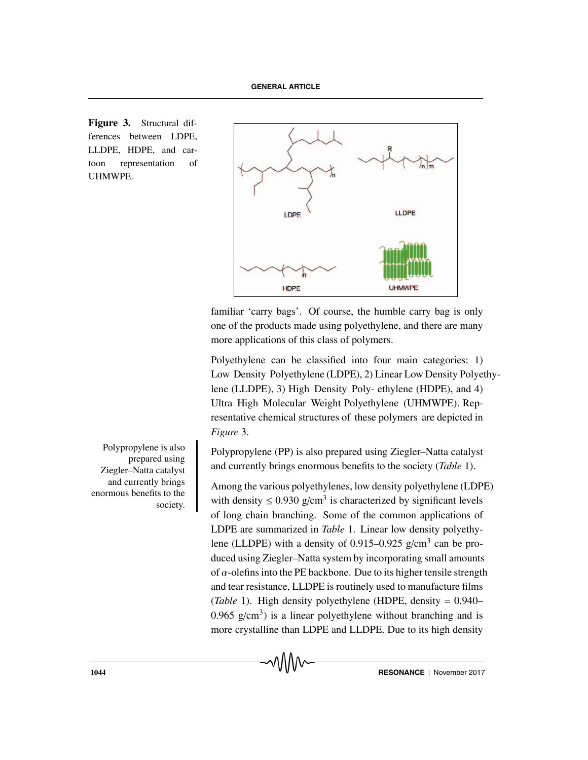**Figure 3.** Structural differences between LDPE, LLDPE, HDPE, and cartoon representation of **UHMWPE** 



familiar 'carry bags'. Of course, the humble carry bag is only one of the products made using polyethylene, and there are many more applications of this class of polymers.

Polyethylene can be classified into four main categories: 1) Low Density Polyethylene (LDPE), 2) Linear Low Density Polyethylene (LLDPE), 3) High Density Poly- ethylene (HDPE), and 4) Ultra High Molecular Weight Polyethylene (UHMWPE). Representative chemical structures of these polymers are depicted in *Figure* 3.

Polypropylene (PP) is also prepared using Ziegler–Natta catalyst and currently brings enormous benefits to the society (*Table* 1).

Among the various polyethylenes, low density polyethylene (LDPE) with density  $\leq 0.930$  g/cm<sup>3</sup> is characterized by significant levels of long chain branching. Some of the common applications of LDPE are summarized in *Table* 1. Linear low density polyethylene (LLDPE) with a density of 0.915–0.925  $g/cm<sup>3</sup>$  can be produced using Ziegler–Natta system by incorporating small amounts of  $\alpha$ -olefins into the PE backbone. Due to its higher tensile strength and tear resistance, LLDPE is routinely used to manufacture films (*Table* 1). High density polyethylene (HDPE, density = 0.940– 0.965 g/cm<sup>3</sup>) is a linear polyethylene without branching and is more crystalline than LDPE and LLDPE. Due to its high density

Polypropylene is also prepared using Ziegler–Natta catalyst and currently brings enormous benefits to the society.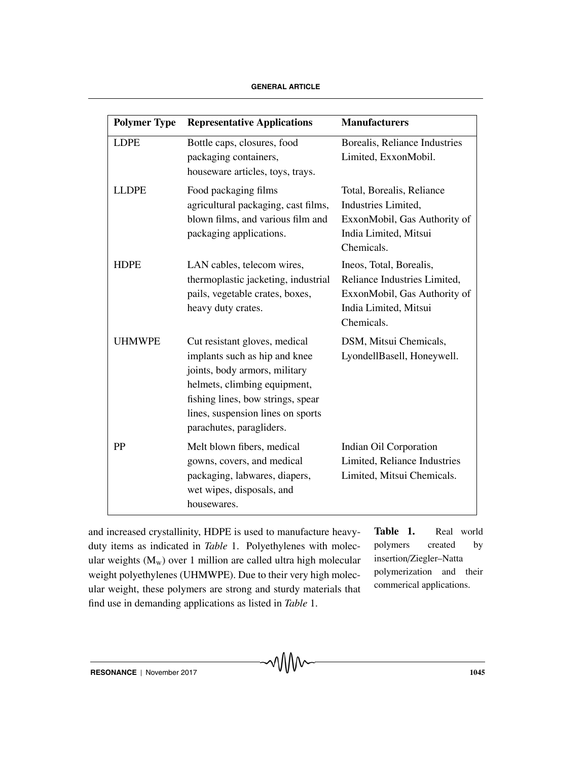| <b>Polymer Type</b> | <b>Representative Applications</b>                                                                                                                                                                                                    | <b>Manufacturers</b>                                                                                                           |
|---------------------|---------------------------------------------------------------------------------------------------------------------------------------------------------------------------------------------------------------------------------------|--------------------------------------------------------------------------------------------------------------------------------|
| <b>LDPE</b>         | Bottle caps, closures, food<br>packaging containers,<br>houseware articles, toys, trays.                                                                                                                                              | Borealis, Reliance Industries<br>Limited, ExxonMobil.                                                                          |
| <b>LLDPE</b>        | Food packaging films<br>agricultural packaging, cast films,<br>blown films, and various film and<br>packaging applications.                                                                                                           | Total, Borealis, Reliance<br>Industries Limited,<br>ExxonMobil, Gas Authority of<br>India Limited, Mitsui<br>Chemicals.        |
| <b>HDPE</b>         | LAN cables, telecom wires,<br>thermoplastic jacketing, industrial<br>pails, vegetable crates, boxes,<br>heavy duty crates.                                                                                                            | Ineos, Total, Borealis,<br>Reliance Industries Limited,<br>ExxonMobil, Gas Authority of<br>India Limited, Mitsui<br>Chemicals. |
| <b>UHMWPE</b>       | Cut resistant gloves, medical<br>implants such as hip and knee<br>joints, body armors, military<br>helmets, climbing equipment,<br>fishing lines, bow strings, spear<br>lines, suspension lines on sports<br>parachutes, paragliders. | DSM, Mitsui Chemicals,<br>LyondellBasell, Honeywell.                                                                           |
| PP                  | Melt blown fibers, medical<br>gowns, covers, and medical<br>packaging, labwares, diapers,<br>wet wipes, disposals, and<br>housewares.                                                                                                 | Indian Oil Corporation<br>Limited, Reliance Industries<br>Limited, Mitsui Chemicals.                                           |

and increased crystallinity, HDPE is used to manufacture heavyduty items as indicated in *Table* 1. Polyethylenes with molecular weights  $(M_w)$  over 1 million are called ultra high molecular weight polyethylenes (UHMWPE). Due to their very high molecular weight, these polymers are strong and sturdy materials that find use in demanding applications as listed in *Table* 1.

**Table 1.** Real world polymers created by insertion/Ziegler–Natta polymerization and their commerical applications.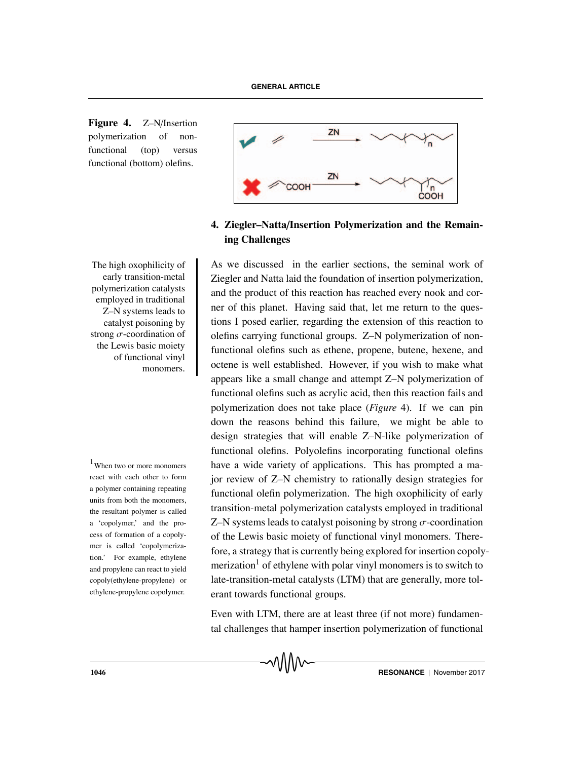**Figure 4.** Z–N/Insertion polymerization of nonfunctional (top) versus functional (bottom) olefins.

The high oxophilicity of early transition-metal polymerization catalysts employed in traditional Z–N systems leads to catalyst poisoning by strong  $\sigma$ -coordination of the Lewis basic moiety of functional vinyl monomers.

react with each other to form a polymer containing repeating units from both the monomers, the resultant polymer is called a 'copolymer,' and the process of formation of a copolymer is called 'copolymerization.' For example, ethylene and propylene can react to yield copoly(ethylene-propylene) or ethylene-propylene copolymer.



# **4. Ziegler–Natta**/**Insertion Polymerization and the Remaining Challenges**

As we discussed in the earlier sections, the seminal work of Ziegler and Natta laid the foundation of insertion polymerization, and the product of this reaction has reached every nook and corner of this planet. Having said that, let me return to the questions I posed earlier, regarding the extension of this reaction to olefins carrying functional groups. Z–N polymerization of nonfunctional olefins such as ethene, propene, butene, hexene, and octene is well established. However, if you wish to make what appears like a small change and attempt Z–N polymerization of functional olefins such as acrylic acid, then this reaction fails and polymerization does not take place (*Figure* 4). If we can pin down the reasons behind this failure, we might be able to design strategies that will enable Z–N-like polymerization of functional olefins. Polyolefins incorporating functional olefins  $1$ When two or more monomers have a wide variety of applications. This has prompted a major review of Z–N chemistry to rationally design strategies for functional olefin polymerization. The high oxophilicity of early transition-metal polymerization catalysts employed in traditional Z–N systems leads to catalyst poisoning by strong  $\sigma$ -coordination of the Lewis basic moiety of functional vinyl monomers. Therefore, a strategy that is currently being explored for insertion copolymerization<sup>1</sup> of ethylene with polar vinyl monomers is to switch to late-transition-metal catalysts (LTM) that are generally, more tolerant towards functional groups.

> Even with LTM, there are at least three (if not more) fundamental challenges that hamper insertion polymerization of functional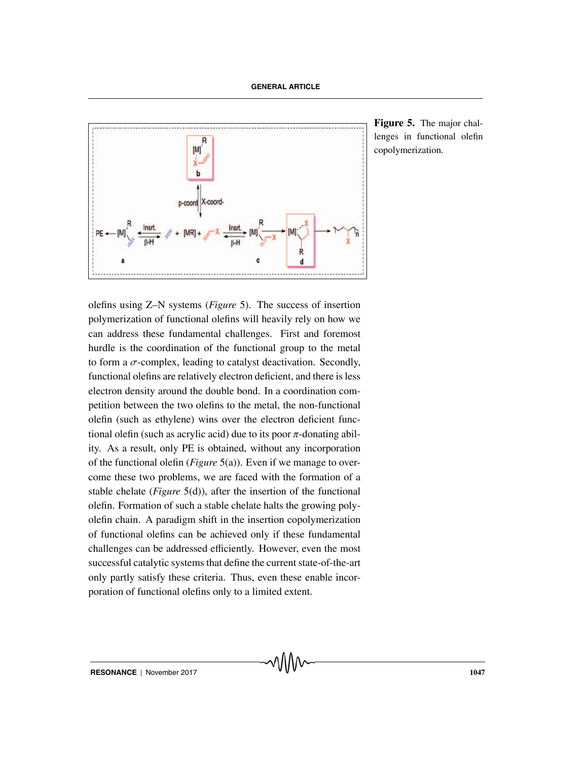

**Figure 5.** The major challenges in functional olefin copolymerization.

olefins using Z–N systems (*Figure* 5). The success of insertion polymerization of functional olefins will heavily rely on how we can address these fundamental challenges. First and foremost hurdle is the coordination of the functional group to the metal to form a  $\sigma$ -complex, leading to catalyst deactivation. Secondly, functional olefins are relatively electron deficient, and there is less electron density around the double bond. In a coordination competition between the two olefins to the metal, the non-functional olefin (such as ethylene) wins over the electron deficient functional olefin (such as acrylic acid) due to its poor  $\pi$ -donating ability. As a result, only PE is obtained, without any incorporation of the functional olefin (*Figure* 5(a)). Even if we manage to overcome these two problems, we are faced with the formation of a stable chelate (*Figure* 5(d)), after the insertion of the functional olefin. Formation of such a stable chelate halts the growing polyolefin chain. A paradigm shift in the insertion copolymerization of functional olefins can be achieved only if these fundamental challenges can be addressed efficiently. However, even the most successful catalytic systems that define the current state-of-the-art only partly satisfy these criteria. Thus, even these enable incorporation of functional olefins only to a limited extent.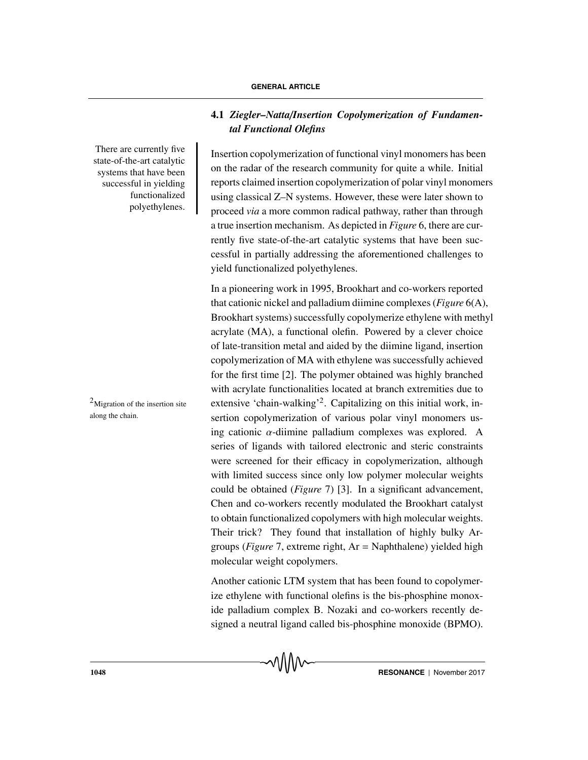There are currently five state-of-the-art catalytic systems that have been successful in yielding functionalized polyethylenes.

along the chain.

# **4.1** *Ziegler–Natta*/*Insertion Copolymerization of Fundamental Functional Olefins*

Insertion copolymerization of functional vinyl monomers has been on the radar of the research community for quite a while. Initial reports claimed insertion copolymerization of polar vinyl monomers using classical Z–N systems. However, these were later shown to proceed *via* a more common radical pathway, rather than through a true insertion mechanism. As depicted in *Figure* 6, there are currently five state-of-the-art catalytic systems that have been successful in partially addressing the aforementioned challenges to yield functionalized polyethylenes.

In a pioneering work in 1995, Brookhart and co-workers reported that cationic nickel and palladium diimine complexes (*Figure* 6(A), Brookhart systems) successfully copolymerize ethylene with methyl acrylate (MA), a functional olefin. Powered by a clever choice of late-transition metal and aided by the diimine ligand, insertion copolymerization of MA with ethylene was successfully achieved for the first time [2]. The polymer obtained was highly branched with acrylate functionalities located at branch extremities due to  $^{2}$ Migration of the insertion site extensive 'chain-walking'<sup>2</sup>. Capitalizing on this initial work, insertion copolymerization of various polar vinyl monomers using cationic  $\alpha$ -diimine palladium complexes was explored. A series of ligands with tailored electronic and steric constraints were screened for their efficacy in copolymerization, although with limited success since only low polymer molecular weights could be obtained (*Figure* 7) [3]. In a significant advancement, Chen and co-workers recently modulated the Brookhart catalyst to obtain functionalized copolymers with high molecular weights. Their trick? They found that installation of highly bulky Argroups (*Figure* 7, extreme right, Ar = Naphthalene) yielded high molecular weight copolymers.

> Another cationic LTM system that has been found to copolymerize ethylene with functional olefins is the bis-phosphine monoxide palladium complex B. Nozaki and co-workers recently designed a neutral ligand called bis-phosphine monoxide (BPMO).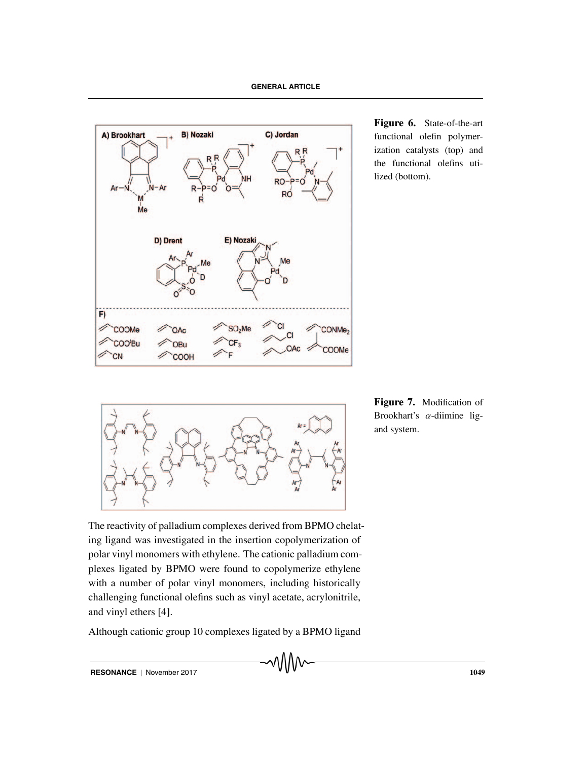

**Figure 6.** State-of-the-art functional olefin polymerization catalysts (top) and the functional olefins utilized (bottom).



**Figure 7.** Modification of Brookhart's  $\alpha$ -diimine ligand system.

The reactivity of palladium complexes derived from BPMO chelating ligand was investigated in the insertion copolymerization of polar vinyl monomers with ethylene. The cationic palladium complexes ligated by BPMO were found to copolymerize ethylene with a number of polar vinyl monomers, including historically challenging functional olefins such as vinyl acetate, acrylonitrile, and vinyl ethers [4].

Although cationic group 10 complexes ligated by a BPMO ligand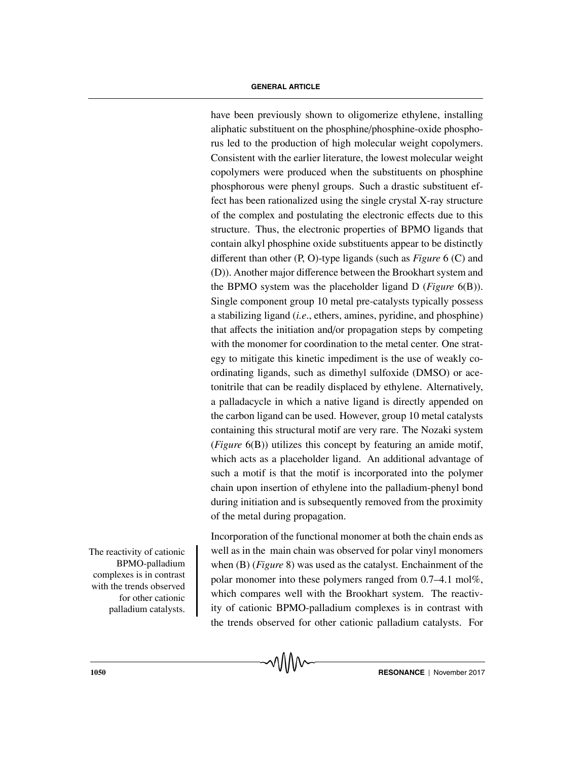have been previously shown to oligomerize ethylene, installing aliphatic substituent on the phosphine/phosphine-oxide phosphorus led to the production of high molecular weight copolymers. Consistent with the earlier literature, the lowest molecular weight copolymers were produced when the substituents on phosphine phosphorous were phenyl groups. Such a drastic substituent effect has been rationalized using the single crystal X-ray structure of the complex and postulating the electronic effects due to this structure. Thus, the electronic properties of BPMO ligands that contain alkyl phosphine oxide substituents appear to be distinctly different than other (P, O)-type ligands (such as *Figure* 6 (C) and (D)). Another major difference between the Brookhart system and the BPMO system was the placeholder ligand D (*Figure* 6(B)). Single component group 10 metal pre-catalysts typically possess a stabilizing ligand (*i.e*., ethers, amines, pyridine, and phosphine) that affects the initiation and/or propagation steps by competing with the monomer for coordination to the metal center. One strategy to mitigate this kinetic impediment is the use of weakly coordinating ligands, such as dimethyl sulfoxide (DMSO) or acetonitrile that can be readily displaced by ethylene. Alternatively, a palladacycle in which a native ligand is directly appended on the carbon ligand can be used. However, group 10 metal catalysts containing this structural motif are very rare. The Nozaki system (*Figure* 6(B)) utilizes this concept by featuring an amide motif, which acts as a placeholder ligand. An additional advantage of such a motif is that the motif is incorporated into the polymer chain upon insertion of ethylene into the palladium-phenyl bond during initiation and is subsequently removed from the proximity of the metal during propagation.

The reactivity of cationic BPMO-palladium complexes is in contrast with the trends observed for other cationic palladium catalysts. Incorporation of the functional monomer at both the chain ends as well as in the main chain was observed for polar vinyl monomers when (B) (*Figure* 8) was used as the catalyst. Enchainment of the polar monomer into these polymers ranged from 0.7–4.1 mol%, which compares well with the Brookhart system. The reactivity of cationic BPMO-palladium complexes is in contrast with the trends observed for other cationic palladium catalysts. For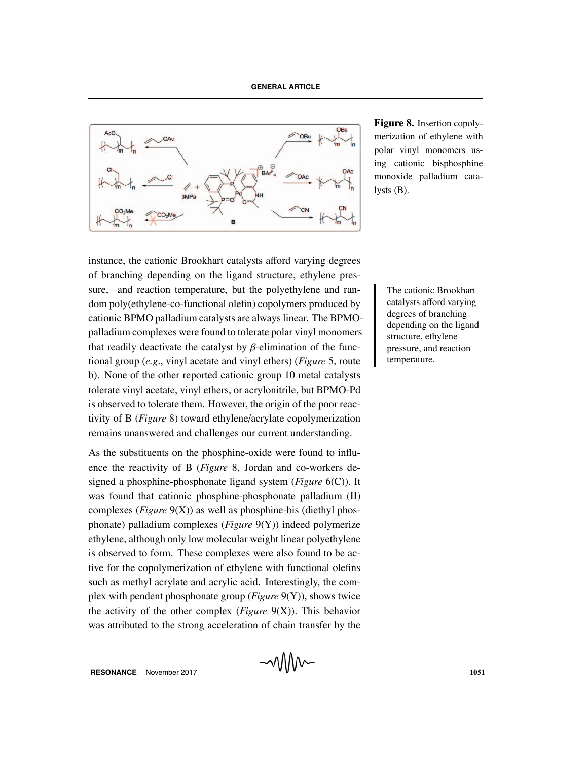

**Figure 8.** Insertion copolymerization of ethylene with polar vinyl monomers using cationic bisphosphine monoxide palladium catalysts (B).

instance, the cationic Brookhart catalysts afford varying degrees of branching depending on the ligand structure, ethylene pressure, and reaction temperature, but the polyethylene and ran-<br>
The cationic Brookhart dom poly(ethylene-co-functional olefin) copolymers produced by cationic BPMO palladium catalysts are always linear. The BPMOpalladium complexes were found to tolerate polar vinyl monomers that readily deactivate the catalyst by  $\beta$ -elimination of the functional group (*e.g*., vinyl acetate and vinyl ethers) (*Figure* 5, route b). None of the other reported cationic group 10 metal catalysts tolerate vinyl acetate, vinyl ethers, or acrylonitrile, but BPMO-Pd is observed to tolerate them. However, the origin of the poor reactivity of B (*Figure* 8) toward ethylene/acrylate copolymerization remains unanswered and challenges our current understanding.

As the substituents on the phosphine-oxide were found to influence the reactivity of B (*Figure* 8, Jordan and co-workers designed a phosphine-phosphonate ligand system (*Figure* 6(C)). It was found that cationic phosphine-phosphonate palladium (II) complexes (*Figure* 9(X)) as well as phosphine-bis (diethyl phosphonate) palladium complexes (*Figure* 9(Y)) indeed polymerize ethylene, although only low molecular weight linear polyethylene is observed to form. These complexes were also found to be active for the copolymerization of ethylene with functional olefins such as methyl acrylate and acrylic acid. Interestingly, the complex with pendent phosphonate group (*Figure* 9(Y)), shows twice the activity of the other complex (*Figure* 9(X)). This behavior was attributed to the strong acceleration of chain transfer by the

catalysts afford varying degrees of branching depending on the ligand structure, ethylene pressure, and reaction temperature.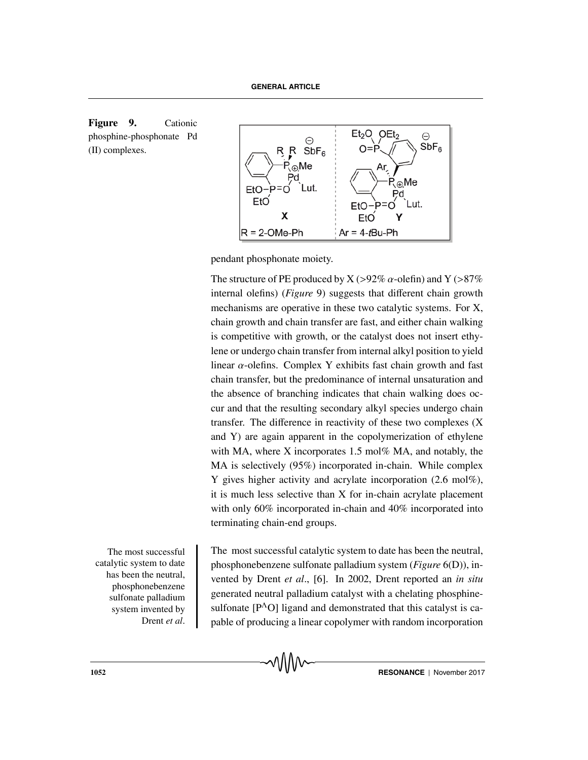



pendant phosphonate moiety.

The structure of PE produced by X ( $>92\%$   $\alpha$ -olefin) and Y ( $>87\%$ internal olefins) (*Figure* 9) suggests that different chain growth mechanisms are operative in these two catalytic systems. For X, chain growth and chain transfer are fast, and either chain walking is competitive with growth, or the catalyst does not insert ethylene or undergo chain transfer from internal alkyl position to yield linear  $\alpha$ -olefins. Complex Y exhibits fast chain growth and fast chain transfer, but the predominance of internal unsaturation and the absence of branching indicates that chain walking does occur and that the resulting secondary alkyl species undergo chain transfer. The difference in reactivity of these two complexes (X and Y) are again apparent in the copolymerization of ethylene with MA, where X incorporates 1.5 mol% MA, and notably, the MA is selectively (95%) incorporated in-chain. While complex Y gives higher activity and acrylate incorporation (2.6 mol%), it is much less selective than X for in-chain acrylate placement with only 60% incorporated in-chain and 40% incorporated into terminating chain-end groups.

The most successful catalytic system to date has been the neutral, phosphonebenzene sulfonate palladium system invented by Drent *et al*. The most successful catalytic system to date has been the neutral, phosphonebenzene sulfonate palladium system (*Figure* 6(D)), invented by Drent *et al*., [6]. In 2002, Drent reported an *in situ* generated neutral palladium catalyst with a chelating phosphinesulfonate  $[P^{\Lambda}O]$  ligand and demonstrated that this catalyst is capable of producing a linear copolymer with random incorporation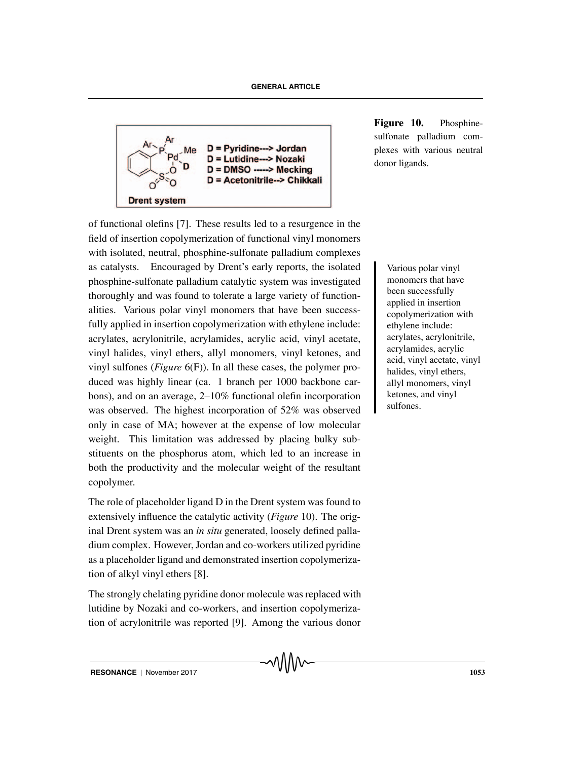

**Figure 10.** Phosphinesulfonate palladium complexes with various neutral donor ligands.

of functional olefins [7]. These results led to a resurgence in the field of insertion copolymerization of functional vinyl monomers with isolated, neutral, phosphine-sulfonate palladium complexes as catalysts. Encouraged by Drent's early reports, the isolated Various polar vinyl phosphine-sulfonate palladium catalytic system was investigated thoroughly and was found to tolerate a large variety of functionalities. Various polar vinyl monomers that have been successfully applied in insertion copolymerization with ethylene include: acrylates, acrylonitrile, acrylamides, acrylic acid, vinyl acetate, vinyl halides, vinyl ethers, allyl monomers, vinyl ketones, and vinyl sulfones (*Figure* 6(F)). In all these cases, the polymer produced was highly linear (ca. 1 branch per 1000 backbone carbons), and on an average, 2–10% functional olefin incorporation was observed. The highest incorporation of 52% was observed only in case of MA; however at the expense of low molecular weight. This limitation was addressed by placing bulky substituents on the phosphorus atom, which led to an increase in both the productivity and the molecular weight of the resultant copolymer.

The role of placeholder ligand D in the Drent system was found to extensively influence the catalytic activity (*Figure* 10). The original Drent system was an *in situ* generated, loosely defined palladium complex. However, Jordan and co-workers utilized pyridine as a placeholder ligand and demonstrated insertion copolymerization of alkyl vinyl ethers [8].

The strongly chelating pyridine donor molecule was replaced with lutidine by Nozaki and co-workers, and insertion copolymerization of acrylonitrile was reported [9]. Among the various donor

monomers that have been successfully applied in insertion copolymerization with ethylene include: acrylates, acrylonitrile, acrylamides, acrylic acid, vinyl acetate, vinyl halides, vinyl ethers, allyl monomers, vinyl ketones, and vinyl sulfones.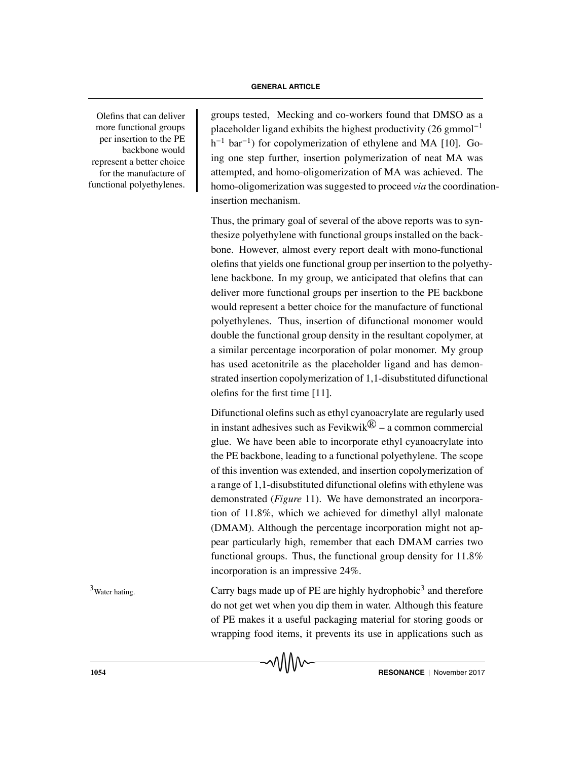Olefins that can deliver more functional groups per insertion to the PE backbone would represent a better choice for the manufacture of functional polyethylenes.

groups tested, Mecking and co-workers found that DMSO as a placeholder ligand exhibits the highest productivity  $(26 \text{ gmmol}^{-1})$ h<sup>-1</sup> bar<sup>-1</sup>) for copolymerization of ethylene and MA [10]. Going one step further, insertion polymerization of neat MA was attempted, and homo-oligomerization of MA was achieved. The homo-oligomerization was suggested to proceed *via* the coordinationinsertion mechanism.

Thus, the primary goal of several of the above reports was to synthesize polyethylene with functional groups installed on the backbone. However, almost every report dealt with mono-functional olefins that yields one functional group per insertion to the polyethylene backbone. In my group, we anticipated that olefins that can deliver more functional groups per insertion to the PE backbone would represent a better choice for the manufacture of functional polyethylenes. Thus, insertion of difunctional monomer would double the functional group density in the resultant copolymer, at a similar percentage incorporation of polar monomer. My group has used acetonitrile as the placeholder ligand and has demonstrated insertion copolymerization of 1,1-disubstituted difunctional olefins for the first time [11].

Difunctional olefins such as ethyl cyanoacrylate are regularly used in instant adhesives such as Fevikwik $\mathbb{R}$  – a common commercial glue. We have been able to incorporate ethyl cyanoacrylate into the PE backbone, leading to a functional polyethylene. The scope of this invention was extended, and insertion copolymerization of a range of 1,1-disubstituted difunctional olefins with ethylene was demonstrated (*Figure* 11). We have demonstrated an incorporation of 11.8%, which we achieved for dimethyl allyl malonate (DMAM). Although the percentage incorporation might not appear particularly high, remember that each DMAM carries two functional groups. Thus, the functional group density for 11.8% incorporation is an impressive 24%.

 $3<sup>3</sup>$ Water hating. Carry bags made up of PE are highly hydrophobic<sup>3</sup> and therefore do not get wet when you dip them in water. Although this feature of PE makes it a useful packaging material for storing goods or wrapping food items, it prevents its use in applications such as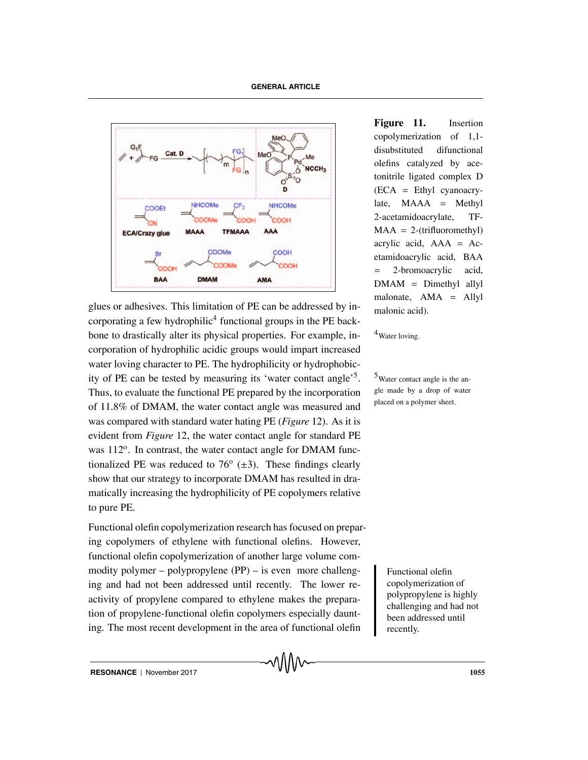

glues or adhesives. This limitation of PE can be addressed by in- $_{\text{malonic acid}}$ . corporating a few hydrophilic<sup>4</sup> functional groups in the PE backbone to drastically alter its physical properties. For example, in- $\frac{4}{3}$  Water loving. corporation of hydrophilic acidic groups would impart increased water loving character to PE. The hydrophilicity or hydrophobicity of PE can be tested by measuring its 'water contact angle'<sup>5</sup>. <sup>5</sup>Water contact angle is the an-Thus, to evaluate the functional PE prepared by the incorporation of 11.8% of DMAM, the water contact angle was measured and was compared with standard water hating PE (*Figure* 12). As it is evident from *Figure* 12, the water contact angle for standard PE was  $112^{\circ}$ . In contrast, the water contact angle for DMAM functionalized PE was reduced to  $76^{\circ}$  ( $\pm$ 3). These findings clearly show that our strategy to incorporate DMAM has resulted in dramatically increasing the hydrophilicity of PE copolymers relative to pure PE.

Functional olefin copolymerization research has focused on preparing copolymers of ethylene with functional olefins. However, functional olefin copolymerization of another large volume commodity polymer – polypropylene (PP) – is even more challeng-<br>Functional olefin ing and had not been addressed until recently. The lower reactivity of propylene compared to ethylene makes the preparation of propylene-functional olefin copolymers especially daunting. The most recent development in the area of functional olefin

**Figure 11.** Insertion copolymerization of 1,1 disubstituted difunctional olefins catalyzed by acetonitrile ligated complex D (ECA = Ethyl cyanoacrylate,  $MAAA = Methvl$ 2-acetamidoacrylate, TF- $MAA = 2$ -(trifluoromethyl) acrylic acid,  $AAA = Ac$ etamidoacrylic acid, BAA = 2-bromoacrylic acid,  $DMAM = Dimethyl$  allyl malonate, AMA = Allyl

gle made by a drop of water placed on a polymer sheet.

> copolymerization of polypropylene is highly challenging and had not been addressed until recently.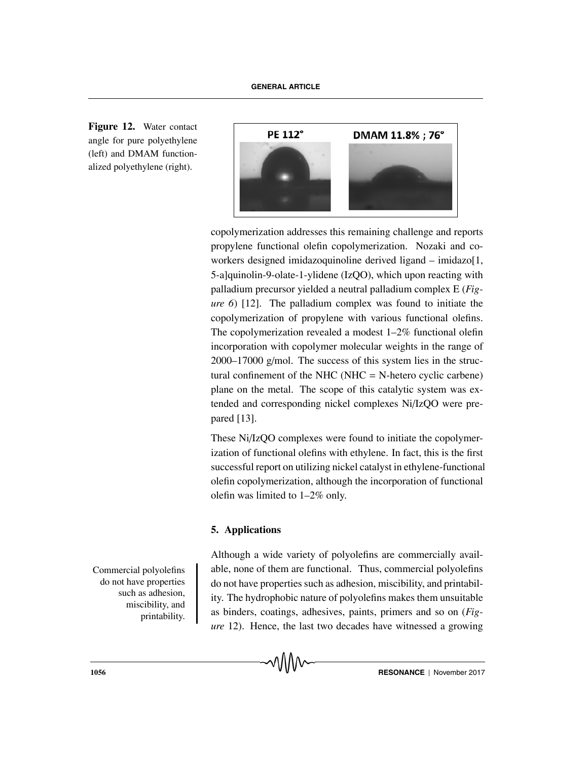**Figure 12.** Water contact angle for pure polyethylene (left) and DMAM functionalized polyethylene (right).



copolymerization addresses this remaining challenge and reports propylene functional olefin copolymerization. Nozaki and coworkers designed imidazoquinoline derived ligand – imidazo[1, 5-a]quinolin-9-olate-1-ylidene (IzQO), which upon reacting with palladium precursor yielded a neutral palladium complex E (*Figure 6*) [12]. The palladium complex was found to initiate the copolymerization of propylene with various functional olefins. The copolymerization revealed a modest 1–2% functional olefin incorporation with copolymer molecular weights in the range of 2000–17000 g/mol. The success of this system lies in the structural confinement of the NHC (NHC  $=$  N-hetero cyclic carbene) plane on the metal. The scope of this catalytic system was extended and corresponding nickel complexes Ni/IzQO were prepared [13].

These Ni/IzQO complexes were found to initiate the copolymerization of functional olefins with ethylene. In fact, this is the first successful report on utilizing nickel catalyst in ethylene-functional olefin copolymerization, although the incorporation of functional olefin was limited to 1–2% only.

# **5. Applications**

Although a wide variety of polyolefins are commercially avail-Commercial polyolefins able, none of them are functional. Thus, commercial polyolefins do not have properties such as adhesion, miscibility, and printability. The hydrophobic nature of polyolefins makes them unsuitable as binders, coatings, adhesives, paints, primers and so on (*Figure* 12). Hence, the last two decades have witnessed a growing

do not have properties such as adhesion, miscibility, and printability.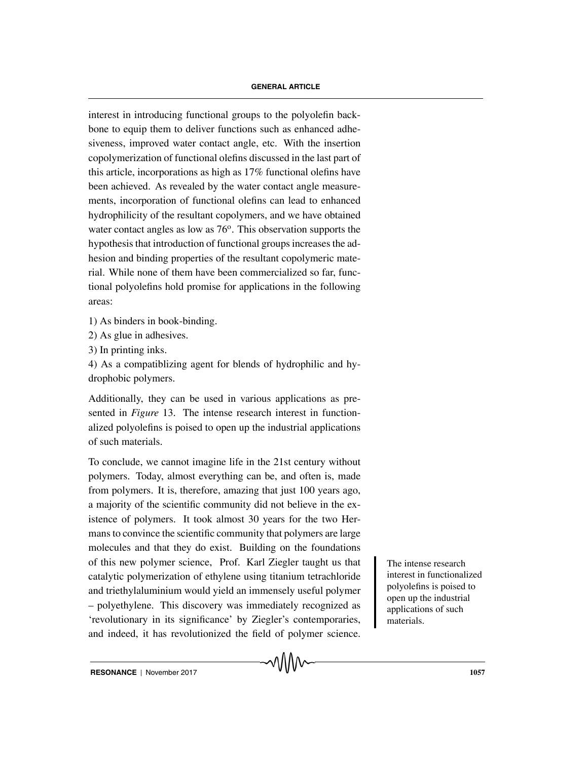interest in introducing functional groups to the polyolefin backbone to equip them to deliver functions such as enhanced adhesiveness, improved water contact angle, etc. With the insertion copolymerization of functional olefins discussed in the last part of this article, incorporations as high as 17% functional olefins have been achieved. As revealed by the water contact angle measurements, incorporation of functional olefins can lead to enhanced hydrophilicity of the resultant copolymers, and we have obtained water contact angles as low as  $76^\circ$ . This observation supports the hypothesis that introduction of functional groups increases the adhesion and binding properties of the resultant copolymeric material. While none of them have been commercialized so far, functional polyolefins hold promise for applications in the following areas:

- 1) As binders in book-binding.
- 2) As glue in adhesives.
- 3) In printing inks.

4) As a compatiblizing agent for blends of hydrophilic and hydrophobic polymers.

Additionally, they can be used in various applications as presented in *Figure* 13. The intense research interest in functionalized polyolefins is poised to open up the industrial applications of such materials.

To conclude, we cannot imagine life in the 21st century without polymers. Today, almost everything can be, and often is, made from polymers. It is, therefore, amazing that just 100 years ago, a majority of the scientific community did not believe in the existence of polymers. It took almost 30 years for the two Hermans to convince the scientific community that polymers are large molecules and that they do exist. Building on the foundations of this new polymer science, Prof. Karl Ziegler taught us that The intense research catalytic polymerization of ethylene using titanium tetrachloride and triethylaluminium would yield an immensely useful polymer – polyethylene. This discovery was immediately recognized as 'revolutionary in its significance' by Ziegler's contemporaries, and indeed, it has revolutionized the field of polymer science.

interest in functionalized polyolefins is poised to open up the industrial applications of such materials.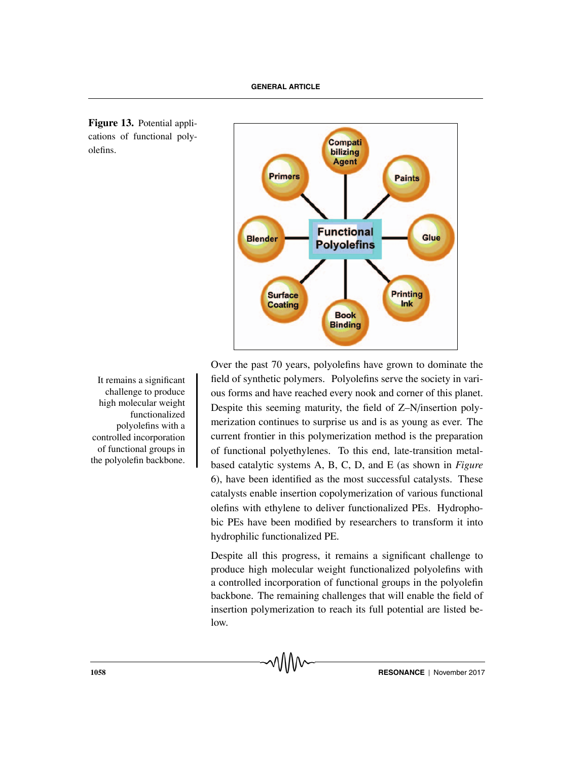**Figure 13.** Potential applications of functional polyolefins.



challenge to produce high molecular weight functionalized polyolefins with a controlled incorporation of functional groups in the polyolefin backbone.

Over the past 70 years, polyolefins have grown to dominate the It remains a significant field of synthetic polymers. Polyolefins serve the society in various forms and have reached every nook and corner of this planet. Despite this seeming maturity, the field of Z–N/insertion polymerization continues to surprise us and is as young as ever. The current frontier in this polymerization method is the preparation of functional polyethylenes. To this end, late-transition metalbased catalytic systems A, B, C, D, and E (as shown in *Figure* 6), have been identified as the most successful catalysts. These catalysts enable insertion copolymerization of various functional olefins with ethylene to deliver functionalized PEs. Hydrophobic PEs have been modified by researchers to transform it into hydrophilic functionalized PE.

> Despite all this progress, it remains a significant challenge to produce high molecular weight functionalized polyolefins with a controlled incorporation of functional groups in the polyolefin backbone. The remaining challenges that will enable the field of insertion polymerization to reach its full potential are listed below.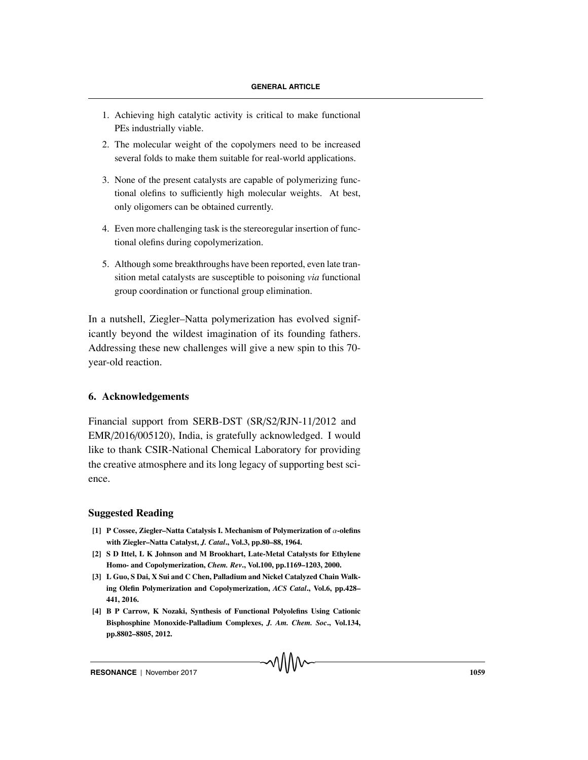- 1. Achieving high catalytic activity is critical to make functional PEs industrially viable.
- 2. The molecular weight of the copolymers need to be increased several folds to make them suitable for real-world applications.
- 3. None of the present catalysts are capable of polymerizing functional olefins to sufficiently high molecular weights. At best, only oligomers can be obtained currently.
- 4. Even more challenging task is the stereoregular insertion of functional olefins during copolymerization.
- 5. Although some breakthroughs have been reported, even late transition metal catalysts are susceptible to poisoning *via* functional group coordination or functional group elimination.

In a nutshell, Ziegler–Natta polymerization has evolved significantly beyond the wildest imagination of its founding fathers. Addressing these new challenges will give a new spin to this 70 year-old reaction.

# **6. Acknowledgements**

Financial support from SERB-DST (SR/S2/RJN-11/2012 and EMR/2016/005120), India, is gratefully acknowledged. I would like to thank CSIR-National Chemical Laboratory for providing the creative atmosphere and its long legacy of supporting best science.

# **Suggested Reading**

- **[1] P Cossee, Ziegler–Natta Catalysis I. Mechanism of Polymerization of** α**-olefins with Ziegler–Natta Catalyst,** *J. Catal***., Vol.3, pp.80–88, 1964.**
- **[2] S D Ittel, L K Johnson and M Brookhart, Late-Metal Catalysts for Ethylene Homo- and Copolymerization,** *Chem. Rev***., Vol.100, pp.1169–1203, 2000.**
- **[3] L Guo, S Dai, X Sui and C Chen, Palladium and Nickel Catalyzed Chain Walking Olefin Polymerization and Copolymerization,** *ACS Catal***., Vol.6, pp.428– 441, 2016.**
- **[4] B P Carrow, K Nozaki, Synthesis of Functional Polyolefins Using Cationic Bisphosphine Monoxide-Palladium Complexes,** *J. Am. Chem. Soc***., Vol.134, pp.8802–8805, 2012.**